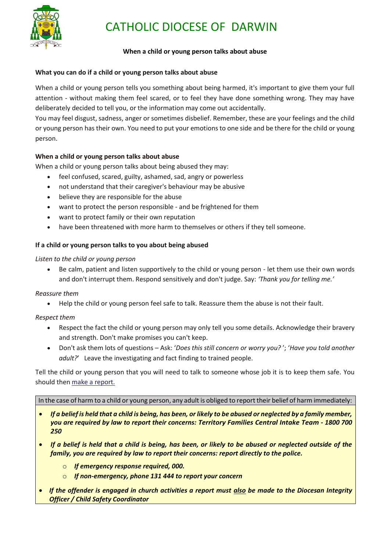

# CATHOLIC DIOCESE OF DARWIN

### **When a child or young person talks about abuse**

#### **What you can do if a child or young person talks about abuse**

When a child or young person tells you something about being harmed, it's important to give them your full attention - without making them feel scared, or to feel they have done something wrong. They may have deliberately decided to tell you, or the information may come out accidentally.

You may feel disgust, sadness, anger or sometimes disbelief. Remember, these are your feelings and the child or young person has their own. You need to put your emotions to one side and be there for the child or young person.

## **When a child or young person talks about abuse**

When a child or young person talks about being abused they may:

- feel confused, scared, guilty, ashamed, sad, angry or powerless
- not understand that their caregiver's behaviour may be abusive
- believe they are responsible for the abuse
- want to protect the person responsible and be frightened for them
- want to protect family or their own reputation
- have been threatened with more harm to themselves or others if they tell someone.

## **If a child or young person talks to you about being abused**

#### *Listen to the child or young person*

 Be calm, patient and listen supportively to the child or young person - let them use their own words and don't interrupt them. Respond sensitively and don't judge. Say: *'Thank you for telling me.'*

## *Reassure them*

Help the child or young person feel safe to talk. Reassure them the abuse is not their fault.

## *Respect them*

- Respect the fact the child or young person may only tell you some details. Acknowledge their bravery and strength. Don't make promises you can't keep.
- Don't ask them lots of questions Ask: '*Does this still concern or worry you?* '; '*Have you told another adult?*' Leave the investigating and fact finding to trained people.

Tell the child or young person that you will need to talk to someone whose job it is to keep them safe. You should then [make a report.](https://nt.gov.au/law/crime/report-child-abuse)

In the case of harm to a child or young person, any adult is obliged to report their belief of harm immediately:

- *If a belief is held that a child is being, has been, or likely to be abused or neglected by a family member, you are required by law to report their concerns: Territory Families Central Intake Team - 1800 700 250*
- *If a belief is held that a child is being, has been, or likely to be abused or neglected outside of the family, you are required by law to report their concerns: report directly to the police.*
	- o *If emergency response required, 000.*
	- o *If non-emergency, phone 131 444 to report your concern*
- *If the offender is engaged in church activities a report must also be made to the Diocesan Integrity Officer / Child Safety Coordinator*